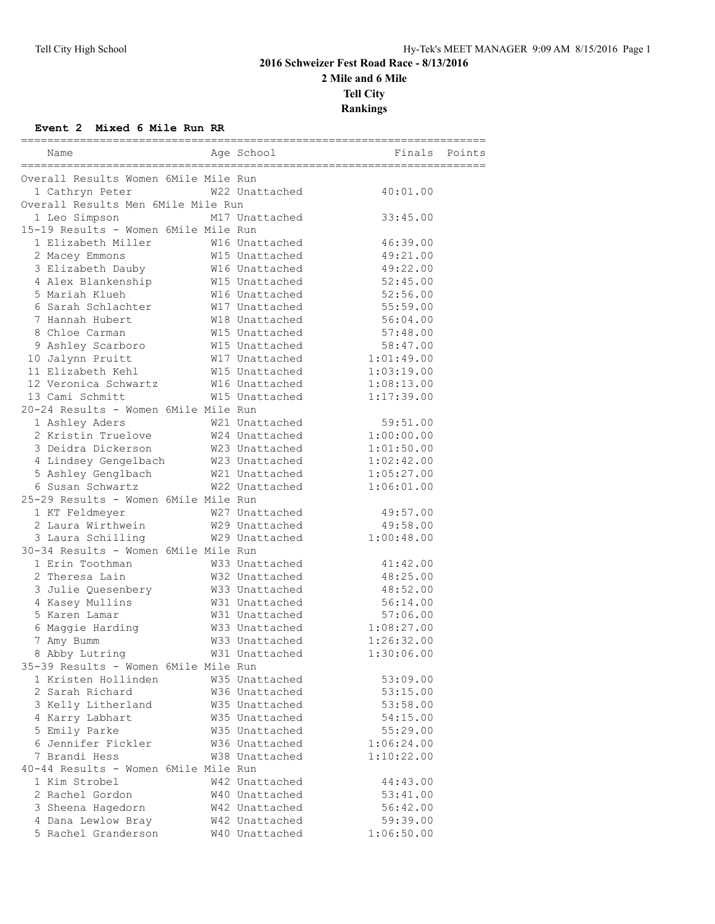# **2016 Schweizer Fest Road Race - 8/13/2016 2 Mile and 6 Mile Tell City Rankings**

### **Event 2 Mixed 6 Mile Run RR**

| Overall Results Women 6Mile Mile Run<br>1 Cathryn Peter<br>W22 Unattached<br>40:01.00<br>Overall Results Men 6Mile Mile Run<br>1 Leo Simpson<br>M17 Unattached<br>33:45.00<br>15-19 Results - Women 6Mile Mile Run<br>1 Elizabeth Miller<br>46:39.00<br>W16 Unattached<br>W15 Unattached<br>49:21.00<br>2 Macey Emmons<br>49:22.00<br>3 Elizabeth Dauby<br>W16 Unattached<br>W15 Unattached<br>4 Alex Blankenship<br>52:45.00<br>W16 Unattached<br>5 Mariah Klueh<br>52:56.00<br>6 Sarah Schlachter W17 Unattached<br>55:59.00<br>7 Hannah Hubert<br>W18 Unattached<br>56:04.00<br>8 Chloe Carman<br>W15 Unattached<br>57:48.00<br>9 Ashley Scarboro<br>W15 Unattached<br>58:47.00<br>10 Jalynn Pruitt<br>W17 Unattached<br>1:01:49.00<br>W15 Unattached<br>11 Elizabeth Kehl<br>1:03:19.00<br>12 Veronica Schwartz M16 Unattached<br>1:08:13.00<br>13 Cami Schmitt<br>W15 Unattached<br>1:17:39.00<br>20-24 Results - Women 6Mile Mile Run<br>W21 Unattached<br>59:51.00<br>1 Ashley Aders<br>W24 Unattached<br>2 Kristin Truelove<br>1:00:00.00<br>3 Deidra Dickerson<br>W23 Unattached<br>1:01:50.00<br>4 Lindsey Gengelbach<br>W23 Unattached<br>1:02:42.00<br>5 Ashley Genglbach<br>W21 Unattached<br>1:05:27.00<br>6 Susan Schwartz<br>W22 Unattached<br>1:06:01.00<br>25-29 Results - Women 6Mile Mile Run<br>1 KT Feldmeyer<br>49:57.00<br>W27 Unattached<br>1 KT Feldmeyer<br>2 Laura Wirthwein<br>W29 Unattached<br>49:58.00<br>3 Laura Schilling<br>W29 Unattached<br>1:00:48.00<br>30-34 Results - Women 6Mile Mile Run<br>1 Erin Toothman<br>W33 Unattached<br>41:42.00<br>2 Theresa Lain<br>W32 Unattached<br>48:25.00<br>3 Julie Quesenbery<br>4 Kasev Mullins<br>W33 Unattached<br>48:52.00<br>4 Kasey Mullins<br>56:14.00<br>W31 Unattached<br>5 Karen Lamar<br>W31 Unattached<br>57:06.00<br>W33 Unattached<br>6 Maggie Harding<br>1:08:27.00<br>W33 Unattached<br>1:26:32.00<br>7 Amy Bumm<br>8 Abby Lutring<br>W31 Unattached<br>1:30:06.00<br>35-39 Results - Women 6Mile Mile Run<br>1 Kristen Hollinden<br>W35 Unattached<br>53:09.00<br>2 Sarah Richard<br>W36 Unattached<br>53:15.00<br>3 Kelly Litherland<br>W35 Unattached<br>53:58.00<br>4 Karry Labhart<br>W35 Unattached<br>54:15.00<br>5 Emily Parke<br>W35 Unattached<br>55:29.00<br>6 Jennifer Fickler<br>W36 Unattached<br>1:06:24.00<br>7 Brandi Hess<br>W38 Unattached<br>1:10:22.00<br>40-44 Results - Women 6Mile Mile Run<br>1 Kim Strobel<br>W42 Unattached<br>44:43.00<br>2 Rachel Gordon<br>W40 Unattached<br>53:41.00<br>3 Sheena Hagedorn<br>W42 Unattached<br>56:42.00<br>4 Dana Lewlow Bray<br>W42 Unattached<br>59:39.00<br>5 Rachel Granderson<br>W40 Unattached<br>1:06:50.00 | Name | Age School | <b>Example 18</b> Finals | Points |
|--------------------------------------------------------------------------------------------------------------------------------------------------------------------------------------------------------------------------------------------------------------------------------------------------------------------------------------------------------------------------------------------------------------------------------------------------------------------------------------------------------------------------------------------------------------------------------------------------------------------------------------------------------------------------------------------------------------------------------------------------------------------------------------------------------------------------------------------------------------------------------------------------------------------------------------------------------------------------------------------------------------------------------------------------------------------------------------------------------------------------------------------------------------------------------------------------------------------------------------------------------------------------------------------------------------------------------------------------------------------------------------------------------------------------------------------------------------------------------------------------------------------------------------------------------------------------------------------------------------------------------------------------------------------------------------------------------------------------------------------------------------------------------------------------------------------------------------------------------------------------------------------------------------------------------------------------------------------------------------------------------------------------------------------------------------------------------------------------------------------------------------------------------------------------------------------------------------------------------------------------------------------------------------------------------------------------------------------------------------------------------------------------------------------------------------------------------------------------------------------------------------------------------------------------------------------------------------------------------------------------------------------------------------------------------|------|------------|--------------------------|--------|
|                                                                                                                                                                                                                                                                                                                                                                                                                                                                                                                                                                                                                                                                                                                                                                                                                                                                                                                                                                                                                                                                                                                                                                                                                                                                                                                                                                                                                                                                                                                                                                                                                                                                                                                                                                                                                                                                                                                                                                                                                                                                                                                                                                                                                                                                                                                                                                                                                                                                                                                                                                                                                                                                                |      |            |                          |        |
|                                                                                                                                                                                                                                                                                                                                                                                                                                                                                                                                                                                                                                                                                                                                                                                                                                                                                                                                                                                                                                                                                                                                                                                                                                                                                                                                                                                                                                                                                                                                                                                                                                                                                                                                                                                                                                                                                                                                                                                                                                                                                                                                                                                                                                                                                                                                                                                                                                                                                                                                                                                                                                                                                |      |            |                          |        |
|                                                                                                                                                                                                                                                                                                                                                                                                                                                                                                                                                                                                                                                                                                                                                                                                                                                                                                                                                                                                                                                                                                                                                                                                                                                                                                                                                                                                                                                                                                                                                                                                                                                                                                                                                                                                                                                                                                                                                                                                                                                                                                                                                                                                                                                                                                                                                                                                                                                                                                                                                                                                                                                                                |      |            |                          |        |
|                                                                                                                                                                                                                                                                                                                                                                                                                                                                                                                                                                                                                                                                                                                                                                                                                                                                                                                                                                                                                                                                                                                                                                                                                                                                                                                                                                                                                                                                                                                                                                                                                                                                                                                                                                                                                                                                                                                                                                                                                                                                                                                                                                                                                                                                                                                                                                                                                                                                                                                                                                                                                                                                                |      |            |                          |        |
|                                                                                                                                                                                                                                                                                                                                                                                                                                                                                                                                                                                                                                                                                                                                                                                                                                                                                                                                                                                                                                                                                                                                                                                                                                                                                                                                                                                                                                                                                                                                                                                                                                                                                                                                                                                                                                                                                                                                                                                                                                                                                                                                                                                                                                                                                                                                                                                                                                                                                                                                                                                                                                                                                |      |            |                          |        |
|                                                                                                                                                                                                                                                                                                                                                                                                                                                                                                                                                                                                                                                                                                                                                                                                                                                                                                                                                                                                                                                                                                                                                                                                                                                                                                                                                                                                                                                                                                                                                                                                                                                                                                                                                                                                                                                                                                                                                                                                                                                                                                                                                                                                                                                                                                                                                                                                                                                                                                                                                                                                                                                                                |      |            |                          |        |
|                                                                                                                                                                                                                                                                                                                                                                                                                                                                                                                                                                                                                                                                                                                                                                                                                                                                                                                                                                                                                                                                                                                                                                                                                                                                                                                                                                                                                                                                                                                                                                                                                                                                                                                                                                                                                                                                                                                                                                                                                                                                                                                                                                                                                                                                                                                                                                                                                                                                                                                                                                                                                                                                                |      |            |                          |        |
|                                                                                                                                                                                                                                                                                                                                                                                                                                                                                                                                                                                                                                                                                                                                                                                                                                                                                                                                                                                                                                                                                                                                                                                                                                                                                                                                                                                                                                                                                                                                                                                                                                                                                                                                                                                                                                                                                                                                                                                                                                                                                                                                                                                                                                                                                                                                                                                                                                                                                                                                                                                                                                                                                |      |            |                          |        |
|                                                                                                                                                                                                                                                                                                                                                                                                                                                                                                                                                                                                                                                                                                                                                                                                                                                                                                                                                                                                                                                                                                                                                                                                                                                                                                                                                                                                                                                                                                                                                                                                                                                                                                                                                                                                                                                                                                                                                                                                                                                                                                                                                                                                                                                                                                                                                                                                                                                                                                                                                                                                                                                                                |      |            |                          |        |
|                                                                                                                                                                                                                                                                                                                                                                                                                                                                                                                                                                                                                                                                                                                                                                                                                                                                                                                                                                                                                                                                                                                                                                                                                                                                                                                                                                                                                                                                                                                                                                                                                                                                                                                                                                                                                                                                                                                                                                                                                                                                                                                                                                                                                                                                                                                                                                                                                                                                                                                                                                                                                                                                                |      |            |                          |        |
|                                                                                                                                                                                                                                                                                                                                                                                                                                                                                                                                                                                                                                                                                                                                                                                                                                                                                                                                                                                                                                                                                                                                                                                                                                                                                                                                                                                                                                                                                                                                                                                                                                                                                                                                                                                                                                                                                                                                                                                                                                                                                                                                                                                                                                                                                                                                                                                                                                                                                                                                                                                                                                                                                |      |            |                          |        |
|                                                                                                                                                                                                                                                                                                                                                                                                                                                                                                                                                                                                                                                                                                                                                                                                                                                                                                                                                                                                                                                                                                                                                                                                                                                                                                                                                                                                                                                                                                                                                                                                                                                                                                                                                                                                                                                                                                                                                                                                                                                                                                                                                                                                                                                                                                                                                                                                                                                                                                                                                                                                                                                                                |      |            |                          |        |
|                                                                                                                                                                                                                                                                                                                                                                                                                                                                                                                                                                                                                                                                                                                                                                                                                                                                                                                                                                                                                                                                                                                                                                                                                                                                                                                                                                                                                                                                                                                                                                                                                                                                                                                                                                                                                                                                                                                                                                                                                                                                                                                                                                                                                                                                                                                                                                                                                                                                                                                                                                                                                                                                                |      |            |                          |        |
|                                                                                                                                                                                                                                                                                                                                                                                                                                                                                                                                                                                                                                                                                                                                                                                                                                                                                                                                                                                                                                                                                                                                                                                                                                                                                                                                                                                                                                                                                                                                                                                                                                                                                                                                                                                                                                                                                                                                                                                                                                                                                                                                                                                                                                                                                                                                                                                                                                                                                                                                                                                                                                                                                |      |            |                          |        |
|                                                                                                                                                                                                                                                                                                                                                                                                                                                                                                                                                                                                                                                                                                                                                                                                                                                                                                                                                                                                                                                                                                                                                                                                                                                                                                                                                                                                                                                                                                                                                                                                                                                                                                                                                                                                                                                                                                                                                                                                                                                                                                                                                                                                                                                                                                                                                                                                                                                                                                                                                                                                                                                                                |      |            |                          |        |
|                                                                                                                                                                                                                                                                                                                                                                                                                                                                                                                                                                                                                                                                                                                                                                                                                                                                                                                                                                                                                                                                                                                                                                                                                                                                                                                                                                                                                                                                                                                                                                                                                                                                                                                                                                                                                                                                                                                                                                                                                                                                                                                                                                                                                                                                                                                                                                                                                                                                                                                                                                                                                                                                                |      |            |                          |        |
|                                                                                                                                                                                                                                                                                                                                                                                                                                                                                                                                                                                                                                                                                                                                                                                                                                                                                                                                                                                                                                                                                                                                                                                                                                                                                                                                                                                                                                                                                                                                                                                                                                                                                                                                                                                                                                                                                                                                                                                                                                                                                                                                                                                                                                                                                                                                                                                                                                                                                                                                                                                                                                                                                |      |            |                          |        |
|                                                                                                                                                                                                                                                                                                                                                                                                                                                                                                                                                                                                                                                                                                                                                                                                                                                                                                                                                                                                                                                                                                                                                                                                                                                                                                                                                                                                                                                                                                                                                                                                                                                                                                                                                                                                                                                                                                                                                                                                                                                                                                                                                                                                                                                                                                                                                                                                                                                                                                                                                                                                                                                                                |      |            |                          |        |
|                                                                                                                                                                                                                                                                                                                                                                                                                                                                                                                                                                                                                                                                                                                                                                                                                                                                                                                                                                                                                                                                                                                                                                                                                                                                                                                                                                                                                                                                                                                                                                                                                                                                                                                                                                                                                                                                                                                                                                                                                                                                                                                                                                                                                                                                                                                                                                                                                                                                                                                                                                                                                                                                                |      |            |                          |        |
|                                                                                                                                                                                                                                                                                                                                                                                                                                                                                                                                                                                                                                                                                                                                                                                                                                                                                                                                                                                                                                                                                                                                                                                                                                                                                                                                                                                                                                                                                                                                                                                                                                                                                                                                                                                                                                                                                                                                                                                                                                                                                                                                                                                                                                                                                                                                                                                                                                                                                                                                                                                                                                                                                |      |            |                          |        |
|                                                                                                                                                                                                                                                                                                                                                                                                                                                                                                                                                                                                                                                                                                                                                                                                                                                                                                                                                                                                                                                                                                                                                                                                                                                                                                                                                                                                                                                                                                                                                                                                                                                                                                                                                                                                                                                                                                                                                                                                                                                                                                                                                                                                                                                                                                                                                                                                                                                                                                                                                                                                                                                                                |      |            |                          |        |
|                                                                                                                                                                                                                                                                                                                                                                                                                                                                                                                                                                                                                                                                                                                                                                                                                                                                                                                                                                                                                                                                                                                                                                                                                                                                                                                                                                                                                                                                                                                                                                                                                                                                                                                                                                                                                                                                                                                                                                                                                                                                                                                                                                                                                                                                                                                                                                                                                                                                                                                                                                                                                                                                                |      |            |                          |        |
|                                                                                                                                                                                                                                                                                                                                                                                                                                                                                                                                                                                                                                                                                                                                                                                                                                                                                                                                                                                                                                                                                                                                                                                                                                                                                                                                                                                                                                                                                                                                                                                                                                                                                                                                                                                                                                                                                                                                                                                                                                                                                                                                                                                                                                                                                                                                                                                                                                                                                                                                                                                                                                                                                |      |            |                          |        |
|                                                                                                                                                                                                                                                                                                                                                                                                                                                                                                                                                                                                                                                                                                                                                                                                                                                                                                                                                                                                                                                                                                                                                                                                                                                                                                                                                                                                                                                                                                                                                                                                                                                                                                                                                                                                                                                                                                                                                                                                                                                                                                                                                                                                                                                                                                                                                                                                                                                                                                                                                                                                                                                                                |      |            |                          |        |
|                                                                                                                                                                                                                                                                                                                                                                                                                                                                                                                                                                                                                                                                                                                                                                                                                                                                                                                                                                                                                                                                                                                                                                                                                                                                                                                                                                                                                                                                                                                                                                                                                                                                                                                                                                                                                                                                                                                                                                                                                                                                                                                                                                                                                                                                                                                                                                                                                                                                                                                                                                                                                                                                                |      |            |                          |        |
|                                                                                                                                                                                                                                                                                                                                                                                                                                                                                                                                                                                                                                                                                                                                                                                                                                                                                                                                                                                                                                                                                                                                                                                                                                                                                                                                                                                                                                                                                                                                                                                                                                                                                                                                                                                                                                                                                                                                                                                                                                                                                                                                                                                                                                                                                                                                                                                                                                                                                                                                                                                                                                                                                |      |            |                          |        |
|                                                                                                                                                                                                                                                                                                                                                                                                                                                                                                                                                                                                                                                                                                                                                                                                                                                                                                                                                                                                                                                                                                                                                                                                                                                                                                                                                                                                                                                                                                                                                                                                                                                                                                                                                                                                                                                                                                                                                                                                                                                                                                                                                                                                                                                                                                                                                                                                                                                                                                                                                                                                                                                                                |      |            |                          |        |
|                                                                                                                                                                                                                                                                                                                                                                                                                                                                                                                                                                                                                                                                                                                                                                                                                                                                                                                                                                                                                                                                                                                                                                                                                                                                                                                                                                                                                                                                                                                                                                                                                                                                                                                                                                                                                                                                                                                                                                                                                                                                                                                                                                                                                                                                                                                                                                                                                                                                                                                                                                                                                                                                                |      |            |                          |        |
|                                                                                                                                                                                                                                                                                                                                                                                                                                                                                                                                                                                                                                                                                                                                                                                                                                                                                                                                                                                                                                                                                                                                                                                                                                                                                                                                                                                                                                                                                                                                                                                                                                                                                                                                                                                                                                                                                                                                                                                                                                                                                                                                                                                                                                                                                                                                                                                                                                                                                                                                                                                                                                                                                |      |            |                          |        |
|                                                                                                                                                                                                                                                                                                                                                                                                                                                                                                                                                                                                                                                                                                                                                                                                                                                                                                                                                                                                                                                                                                                                                                                                                                                                                                                                                                                                                                                                                                                                                                                                                                                                                                                                                                                                                                                                                                                                                                                                                                                                                                                                                                                                                                                                                                                                                                                                                                                                                                                                                                                                                                                                                |      |            |                          |        |
|                                                                                                                                                                                                                                                                                                                                                                                                                                                                                                                                                                                                                                                                                                                                                                                                                                                                                                                                                                                                                                                                                                                                                                                                                                                                                                                                                                                                                                                                                                                                                                                                                                                                                                                                                                                                                                                                                                                                                                                                                                                                                                                                                                                                                                                                                                                                                                                                                                                                                                                                                                                                                                                                                |      |            |                          |        |
|                                                                                                                                                                                                                                                                                                                                                                                                                                                                                                                                                                                                                                                                                                                                                                                                                                                                                                                                                                                                                                                                                                                                                                                                                                                                                                                                                                                                                                                                                                                                                                                                                                                                                                                                                                                                                                                                                                                                                                                                                                                                                                                                                                                                                                                                                                                                                                                                                                                                                                                                                                                                                                                                                |      |            |                          |        |
|                                                                                                                                                                                                                                                                                                                                                                                                                                                                                                                                                                                                                                                                                                                                                                                                                                                                                                                                                                                                                                                                                                                                                                                                                                                                                                                                                                                                                                                                                                                                                                                                                                                                                                                                                                                                                                                                                                                                                                                                                                                                                                                                                                                                                                                                                                                                                                                                                                                                                                                                                                                                                                                                                |      |            |                          |        |
|                                                                                                                                                                                                                                                                                                                                                                                                                                                                                                                                                                                                                                                                                                                                                                                                                                                                                                                                                                                                                                                                                                                                                                                                                                                                                                                                                                                                                                                                                                                                                                                                                                                                                                                                                                                                                                                                                                                                                                                                                                                                                                                                                                                                                                                                                                                                                                                                                                                                                                                                                                                                                                                                                |      |            |                          |        |
|                                                                                                                                                                                                                                                                                                                                                                                                                                                                                                                                                                                                                                                                                                                                                                                                                                                                                                                                                                                                                                                                                                                                                                                                                                                                                                                                                                                                                                                                                                                                                                                                                                                                                                                                                                                                                                                                                                                                                                                                                                                                                                                                                                                                                                                                                                                                                                                                                                                                                                                                                                                                                                                                                |      |            |                          |        |
|                                                                                                                                                                                                                                                                                                                                                                                                                                                                                                                                                                                                                                                                                                                                                                                                                                                                                                                                                                                                                                                                                                                                                                                                                                                                                                                                                                                                                                                                                                                                                                                                                                                                                                                                                                                                                                                                                                                                                                                                                                                                                                                                                                                                                                                                                                                                                                                                                                                                                                                                                                                                                                                                                |      |            |                          |        |
|                                                                                                                                                                                                                                                                                                                                                                                                                                                                                                                                                                                                                                                                                                                                                                                                                                                                                                                                                                                                                                                                                                                                                                                                                                                                                                                                                                                                                                                                                                                                                                                                                                                                                                                                                                                                                                                                                                                                                                                                                                                                                                                                                                                                                                                                                                                                                                                                                                                                                                                                                                                                                                                                                |      |            |                          |        |
|                                                                                                                                                                                                                                                                                                                                                                                                                                                                                                                                                                                                                                                                                                                                                                                                                                                                                                                                                                                                                                                                                                                                                                                                                                                                                                                                                                                                                                                                                                                                                                                                                                                                                                                                                                                                                                                                                                                                                                                                                                                                                                                                                                                                                                                                                                                                                                                                                                                                                                                                                                                                                                                                                |      |            |                          |        |
|                                                                                                                                                                                                                                                                                                                                                                                                                                                                                                                                                                                                                                                                                                                                                                                                                                                                                                                                                                                                                                                                                                                                                                                                                                                                                                                                                                                                                                                                                                                                                                                                                                                                                                                                                                                                                                                                                                                                                                                                                                                                                                                                                                                                                                                                                                                                                                                                                                                                                                                                                                                                                                                                                |      |            |                          |        |
|                                                                                                                                                                                                                                                                                                                                                                                                                                                                                                                                                                                                                                                                                                                                                                                                                                                                                                                                                                                                                                                                                                                                                                                                                                                                                                                                                                                                                                                                                                                                                                                                                                                                                                                                                                                                                                                                                                                                                                                                                                                                                                                                                                                                                                                                                                                                                                                                                                                                                                                                                                                                                                                                                |      |            |                          |        |
|                                                                                                                                                                                                                                                                                                                                                                                                                                                                                                                                                                                                                                                                                                                                                                                                                                                                                                                                                                                                                                                                                                                                                                                                                                                                                                                                                                                                                                                                                                                                                                                                                                                                                                                                                                                                                                                                                                                                                                                                                                                                                                                                                                                                                                                                                                                                                                                                                                                                                                                                                                                                                                                                                |      |            |                          |        |
|                                                                                                                                                                                                                                                                                                                                                                                                                                                                                                                                                                                                                                                                                                                                                                                                                                                                                                                                                                                                                                                                                                                                                                                                                                                                                                                                                                                                                                                                                                                                                                                                                                                                                                                                                                                                                                                                                                                                                                                                                                                                                                                                                                                                                                                                                                                                                                                                                                                                                                                                                                                                                                                                                |      |            |                          |        |
|                                                                                                                                                                                                                                                                                                                                                                                                                                                                                                                                                                                                                                                                                                                                                                                                                                                                                                                                                                                                                                                                                                                                                                                                                                                                                                                                                                                                                                                                                                                                                                                                                                                                                                                                                                                                                                                                                                                                                                                                                                                                                                                                                                                                                                                                                                                                                                                                                                                                                                                                                                                                                                                                                |      |            |                          |        |
|                                                                                                                                                                                                                                                                                                                                                                                                                                                                                                                                                                                                                                                                                                                                                                                                                                                                                                                                                                                                                                                                                                                                                                                                                                                                                                                                                                                                                                                                                                                                                                                                                                                                                                                                                                                                                                                                                                                                                                                                                                                                                                                                                                                                                                                                                                                                                                                                                                                                                                                                                                                                                                                                                |      |            |                          |        |
|                                                                                                                                                                                                                                                                                                                                                                                                                                                                                                                                                                                                                                                                                                                                                                                                                                                                                                                                                                                                                                                                                                                                                                                                                                                                                                                                                                                                                                                                                                                                                                                                                                                                                                                                                                                                                                                                                                                                                                                                                                                                                                                                                                                                                                                                                                                                                                                                                                                                                                                                                                                                                                                                                |      |            |                          |        |
|                                                                                                                                                                                                                                                                                                                                                                                                                                                                                                                                                                                                                                                                                                                                                                                                                                                                                                                                                                                                                                                                                                                                                                                                                                                                                                                                                                                                                                                                                                                                                                                                                                                                                                                                                                                                                                                                                                                                                                                                                                                                                                                                                                                                                                                                                                                                                                                                                                                                                                                                                                                                                                                                                |      |            |                          |        |
|                                                                                                                                                                                                                                                                                                                                                                                                                                                                                                                                                                                                                                                                                                                                                                                                                                                                                                                                                                                                                                                                                                                                                                                                                                                                                                                                                                                                                                                                                                                                                                                                                                                                                                                                                                                                                                                                                                                                                                                                                                                                                                                                                                                                                                                                                                                                                                                                                                                                                                                                                                                                                                                                                |      |            |                          |        |
|                                                                                                                                                                                                                                                                                                                                                                                                                                                                                                                                                                                                                                                                                                                                                                                                                                                                                                                                                                                                                                                                                                                                                                                                                                                                                                                                                                                                                                                                                                                                                                                                                                                                                                                                                                                                                                                                                                                                                                                                                                                                                                                                                                                                                                                                                                                                                                                                                                                                                                                                                                                                                                                                                |      |            |                          |        |
|                                                                                                                                                                                                                                                                                                                                                                                                                                                                                                                                                                                                                                                                                                                                                                                                                                                                                                                                                                                                                                                                                                                                                                                                                                                                                                                                                                                                                                                                                                                                                                                                                                                                                                                                                                                                                                                                                                                                                                                                                                                                                                                                                                                                                                                                                                                                                                                                                                                                                                                                                                                                                                                                                |      |            |                          |        |
|                                                                                                                                                                                                                                                                                                                                                                                                                                                                                                                                                                                                                                                                                                                                                                                                                                                                                                                                                                                                                                                                                                                                                                                                                                                                                                                                                                                                                                                                                                                                                                                                                                                                                                                                                                                                                                                                                                                                                                                                                                                                                                                                                                                                                                                                                                                                                                                                                                                                                                                                                                                                                                                                                |      |            |                          |        |
|                                                                                                                                                                                                                                                                                                                                                                                                                                                                                                                                                                                                                                                                                                                                                                                                                                                                                                                                                                                                                                                                                                                                                                                                                                                                                                                                                                                                                                                                                                                                                                                                                                                                                                                                                                                                                                                                                                                                                                                                                                                                                                                                                                                                                                                                                                                                                                                                                                                                                                                                                                                                                                                                                |      |            |                          |        |
|                                                                                                                                                                                                                                                                                                                                                                                                                                                                                                                                                                                                                                                                                                                                                                                                                                                                                                                                                                                                                                                                                                                                                                                                                                                                                                                                                                                                                                                                                                                                                                                                                                                                                                                                                                                                                                                                                                                                                                                                                                                                                                                                                                                                                                                                                                                                                                                                                                                                                                                                                                                                                                                                                |      |            |                          |        |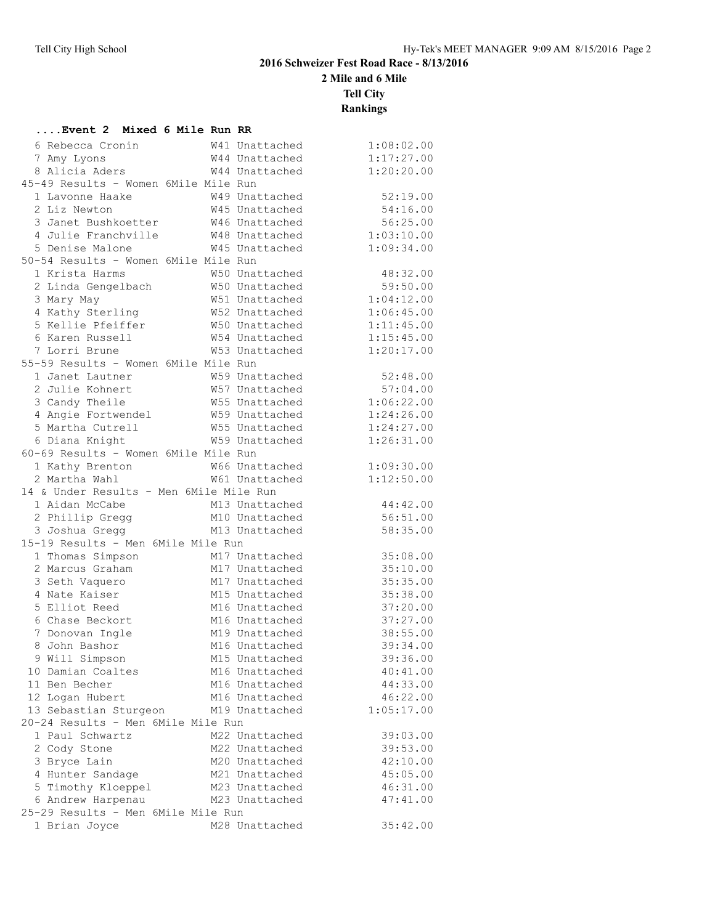## **2016 Schweizer Fest Road Race - 8/13/2016**

**2 Mile and 6 Mile**

**Tell City**

**Rankings**

| Event 2 Mixed 6 Mile Run RR             |  |                                  |                      |
|-----------------------------------------|--|----------------------------------|----------------------|
| 6 Rebecca Cronin                        |  | W41 Unattached                   | 1:08:02.00           |
| 7 Amy Lyons                             |  | W44 Unattached                   | 1:17:27.00           |
| 8 Alicia Aders                          |  | W44 Unattached                   | 1:20:20.00           |
| 45-49 Results - Women 6Mile Mile Run    |  |                                  |                      |
| 1 Lavonne Haake                         |  | W49 Unattached                   | 52:19.00             |
| 2 Liz Newton                            |  | W45 Unattached                   | 54:16.00             |
| 3 Janet Bushkoetter                     |  | W46 Unattached                   | 56:25.00             |
| 4 Julie Franchville                     |  | W48 Unattached                   | 1:03:10.00           |
| 5 Denise Malone                         |  | W45 Unattached                   | 1:09:34.00           |
| 50-54 Results - Women 6Mile Mile Run    |  |                                  |                      |
| 1 Krista Harms                          |  | W50 Unattached                   | 48:32.00             |
| 2 Linda Gengelbach                      |  | W50 Unattached                   | 59:50.00             |
| 3 Mary May                              |  | W51 Unattached                   | 1:04:12.00           |
| 4 Kathy Sterling                        |  | W52 Unattached                   | 1:06:45.00           |
| 5 Kellie Pfeiffer                       |  | W50 Unattached                   | 1:11:45.00           |
| 6 Karen Russell                         |  | W54 Unattached                   | 1:15:45.00           |
| 7 Lorri Brune                           |  | W53 Unattached                   | 1:20:17.00           |
| 55-59 Results - Women 6Mile Mile Run    |  |                                  |                      |
| 1 Janet Lautner                         |  | W59 Unattached                   | 52:48.00             |
| 2 Julie Kohnert                         |  | W57 Unattached                   | 57:04.00             |
| 3 Candy Theile<br>4 Angie Fortwendel    |  | W55 Unattached                   | 1:06:22.00           |
|                                         |  | W59 Unattached                   | 1:24:26.00           |
| 5 Martha Cutrell                        |  | W55 Unattached                   | 1:24:27.00           |
| 6 Diana Knight                          |  | W59 Unattached                   | 1:26:31.00           |
| 60-69 Results - Women 6Mile Mile Run    |  |                                  |                      |
| 1 Kathy Brenton                         |  | W66 Unattached                   | 1:09:30.00           |
| 2 Martha Wahl                           |  | W61 Unattached                   | 1:12:50.00           |
| 14 & Under Results - Men 6Mile Mile Run |  |                                  |                      |
| 1 Aidan McCabe                          |  | M13 Unattached                   | 44:42.00             |
| 2 Phillip Gregg                         |  | M10 Unattached                   | 56:51.00             |
| 3 Joshua Gregg                          |  | M13 Unattached                   | 58:35.00             |
| 15-19 Results - Men 6Mile Mile Run      |  |                                  |                      |
| 1 Thomas Simpson                        |  | M17 Unattached                   | 35:08.00             |
| 2 Marcus Graham                         |  | M17 Unattached                   | 35:10.00             |
| 3 Seth Vaquero                          |  | M17 Unattached                   | 35:35.00             |
| 4 Nate Kaiser                           |  | M15 Unattached                   | 35:38.00             |
| 5 Elliot Reed                           |  | M16 Unattached                   | 37:20.00             |
| 6 Chase Beckort                         |  | M16 Unattached                   | 37:27.00             |
| 7 Donovan Ingle                         |  | M19 Unattached                   | 38:55.00             |
| 8 John Bashor                           |  | M16 Unattached                   | 39:34.00             |
| 9 Will Simpson                          |  | M15 Unattached                   | 39:36.00             |
| 10 Damian Coaltes                       |  | M16 Unattached                   | 40:41.00             |
| 11 Ben Becher                           |  | M16 Unattached                   | 44:33.00             |
| 12 Logan Hubert                         |  | M16 Unattached                   | 46:22.00             |
| 13 Sebastian Sturgeon                   |  | M19 Unattached                   | 1:05:17.00           |
| 20-24 Results - Men 6Mile Mile Run      |  |                                  |                      |
| 1 Paul Schwartz                         |  | M22 Unattached                   | 39:03.00             |
| 2 Cody Stone                            |  | M22 Unattached<br>M20 Unattached | 39:53.00<br>42:10.00 |
| 3 Bryce Lain<br>4 Hunter Sandage        |  | M21 Unattached                   | 45:05.00             |
|                                         |  |                                  | 46:31.00             |
| 5 Timothy Kloeppel<br>6 Andrew Harpenau |  | M23 Unattached<br>M23 Unattached | 47:41.00             |
| 25-29 Results - Men 6Mile Mile Run      |  |                                  |                      |
| 1 Brian Joyce                           |  | M28 Unattached                   | 35:42.00             |
|                                         |  |                                  |                      |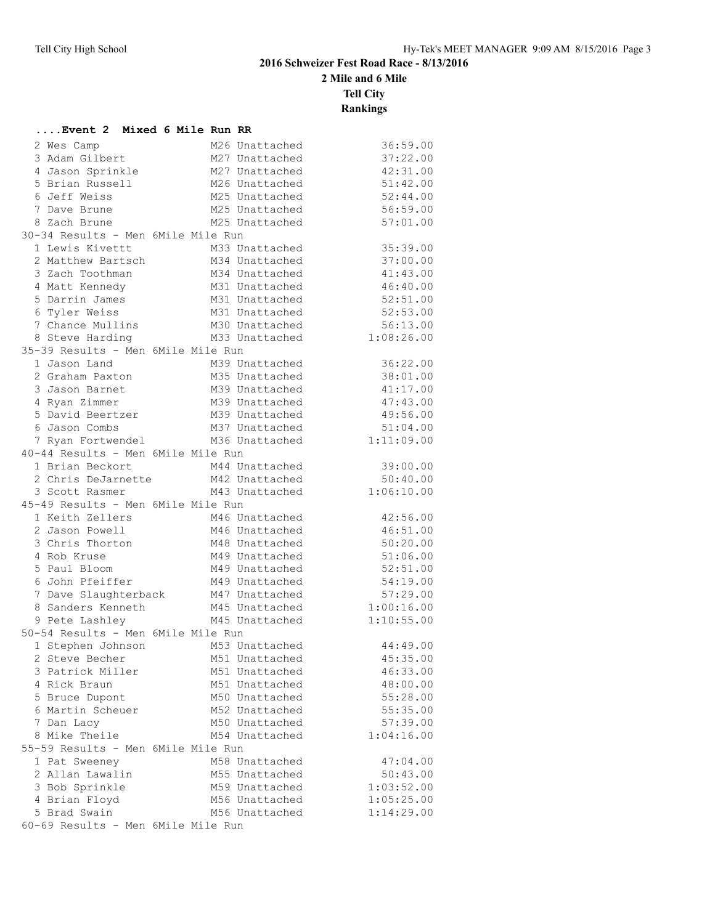**....Event 2 Mixed 6 Mile Run RR**

## **2016 Schweizer Fest Road Race - 8/13/2016**

**2 Mile and 6 Mile**

**Tell City**

**Rankings**

| 2 Wes Camp                                                        | M26 Unattached                   | 36:59.00   |
|-------------------------------------------------------------------|----------------------------------|------------|
| 3 Adam Gilbert                                                    | M27 Unattached                   | 37:22.00   |
| 4 Jason Sprinkle                                                  | M27 Unattached                   | 42:31.00   |
| 5 Brian Russell                                                   | M26 Unattached                   | 51:42.00   |
| 6 Jeff Weiss                                                      | M25 Unattached                   | 52:44.00   |
| 7 Dave Brune                                                      | M25 Unattached                   | 56:59.00   |
| 8 Zach Brune                                                      | M25 Unattached                   | 57:01.00   |
| 30-34 Results - Men 6Mile Mile Run                                |                                  |            |
| 1 Lewis Kivettt                                                   | M33 Unattached                   | 35:39.00   |
| 2 Matthew Bartsch                                                 | M34 Unattached                   | 37:00.00   |
| 3 Zach Toothman                                                   | M34 Unattached                   | 41:43.00   |
|                                                                   |                                  | 46:40.00   |
| 5 Darrin James                                                    | M31 Unattached                   | 52:51.00   |
| 6 Tyler Weiss                                                     | M31 Unattached                   | 52:53.00   |
| 7 Chance Mullins M30 Unattached                                   |                                  | 56:13.00   |
| 8 Steve Harding                                                   | M33 Unattached                   | 1:08:26.00 |
| 35-39 Results - Men 6Mile Mile Run                                |                                  |            |
| 1 Jason Land                                                      | M39 Unattached                   | 36:22.00   |
| 2 Graham Paxton                                                   | M35 Unattached                   | 38:01.00   |
| 3 Jason Barnet                                                    | M39 Unattached                   | 41:17.00   |
| 4 Ryan Zimmer                                                     | M39 Unattached                   | 47:43.00   |
| 5 David Beertzer                                                  |                                  | 49:56.00   |
| 6 Jason Combs                                                     | M39 Unattached<br>M37 Unattached | 51:04.00   |
| 7 Ryan Fortwendel M36 Unattached                                  |                                  | 1:11:09.00 |
| 40-44 Results - Men 6Mile Mile Run                                |                                  |            |
| 1 Brian Beckort                                                   | M44 Unattached                   | 39:00.00   |
| 2 Chris DeJarnette M42 Unattached                                 |                                  | 50:40.00   |
| 3 Scott Rasmer                                                    | M43 Unattached                   | 1:06:10.00 |
| 45-49 Results - Men 6Mile Mile Run                                |                                  |            |
| 1 Keith Zellers M46 Unattached                                    |                                  | 42:56.00   |
| 2 Jason Powell                                                    | M46 Unattached                   | 46:51.00   |
| 3 Chris Thorton                                                   | M48 Unattached                   | 50:20.00   |
| 4 Rob Kruse                                                       | M49 Unattached                   | 51:06.00   |
| 5 Paul Bloom                                                      |                                  | 52:51.00   |
| 6 John Pfeiffer                                                   | M49 Unattached<br>M49 Unattached | 54:19.00   |
| 7 Dave Slaughterback M47 Unattached                               |                                  | 57:29.00   |
| 8 Sanders Kenneth                                                 | M45 Unattached 1:00:16.00        |            |
| 9 Pete Lashley                                                    | M45 Unattached                   | 1:10:55.00 |
| 50-54 Results - Men 6Mile Mile Run                                |                                  |            |
|                                                                   |                                  | 44:49.00   |
| 1 Stephen Johnson M53 Unattached<br>2 Steve Becher M51 Unattached |                                  | 45:35.00   |
| 3 Patrick Miller                                                  | M51 Unattached                   | 46:33.00   |
| 4 Rick Braun                                                      | M51 Unattached                   | 48:00.00   |
| 5 Bruce Dupont                                                    | M50 Unattached                   |            |
|                                                                   |                                  | 55:28.00   |
| 6 Martin Scheuer                                                  | M52 Unattached                   | 55:35.00   |
| 7 Dan Lacy                                                        | M50 Unattached                   | 57:39.00   |
| 8 Mike Theile                                                     | M54 Unattached                   | 1:04:16.00 |
| 55-59 Results - Men 6Mile Mile Run                                |                                  |            |
| 1 Pat Sweeney                                                     | M58 Unattached                   | 47:04.00   |
| 2 Allan Lawalin                                                   | M55 Unattached                   | 50:43.00   |
| 3 Bob Sprinkle                                                    | M59 Unattached                   | 1:03:52.00 |
| 4 Brian Floyd                                                     | M56 Unattached                   | 1:05:25.00 |
| 5 Brad Swain                                                      | M56 Unattached                   | 1:14:29.00 |
| 60-69 Results - Men 6Mile Mile Run                                |                                  |            |